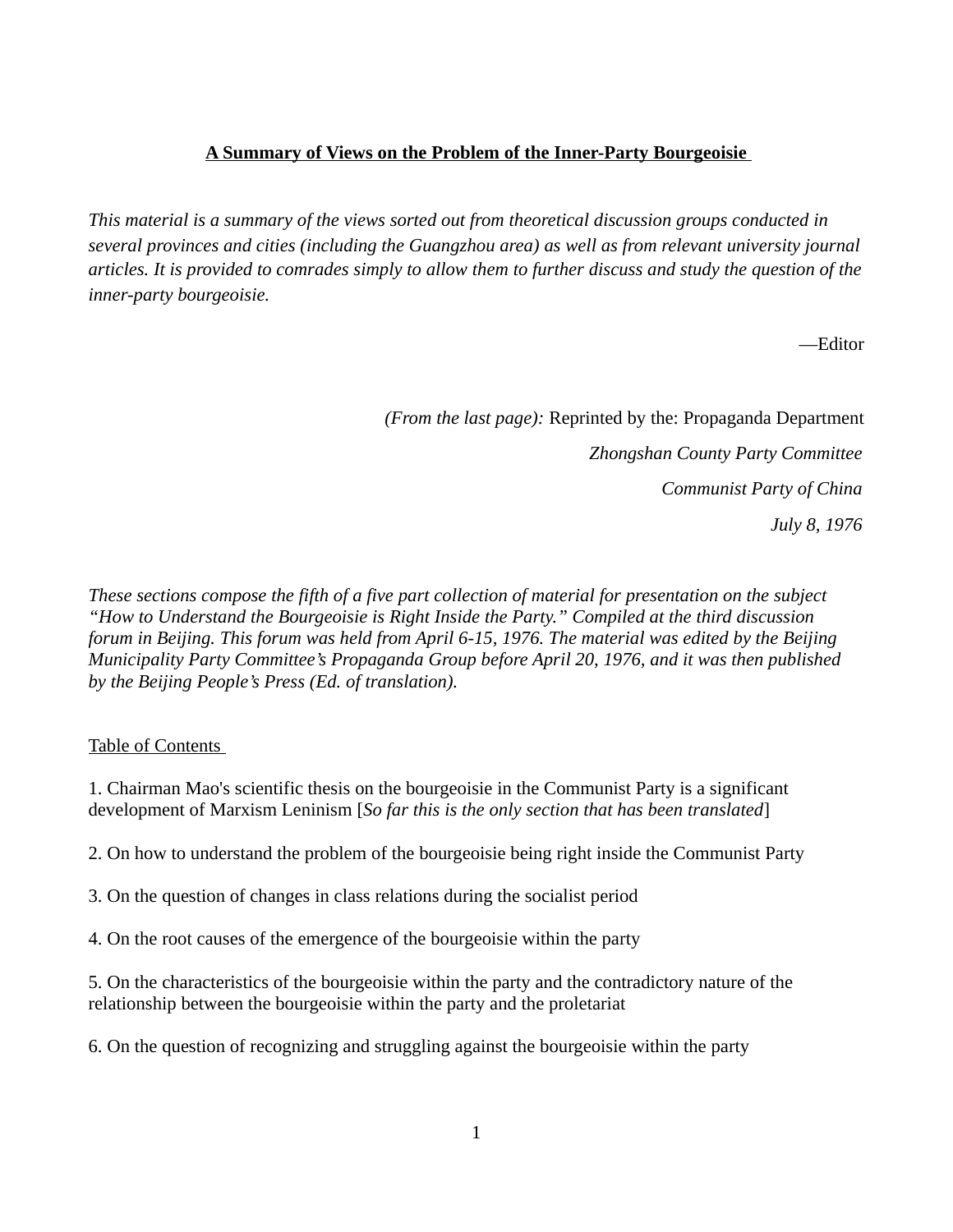## **A Summary of Views on the Problem of the Inner-Party Bourgeoisie**

*This material is a summary of the views sorted out from theoretical discussion groups conducted in several provinces and cities (including the Guangzhou area) as well as from relevant university journal articles. It is provided to comrades simply to allow them to further discuss and study the question of the inner-party bourgeoisie.* 

—Editor

*(From the last page):* Reprinted by the: Propaganda Department *Zhongshan County Party Committee Communist Party of China July 8, 1976*

*These sections compose the fifth of a five part collection of material for presentation on the subject "How to Understand the Bourgeoisie is Right Inside the Party." Compiled at the third discussion forum in Beijing. This forum was held from April 6-15, 1976. The material was edited by the Beijing Municipality Party Committee's Propaganda Group before April 20, 1976, and it was then published by the Beijing People's Press (Ed. of translation).* 

Table of Contents

1. Chairman Mao's scientific thesis on the bourgeoisie in the Communist Party is a significant development of Marxism Leninism [*So far this is the only section that has been translated*]

2. On how to understand the problem of the bourgeoisie being right inside the Communist Party

3. On the question of changes in class relations during the socialist period

4. On the root causes of the emergence of the bourgeoisie within the party

5. On the characteristics of the bourgeoisie within the party and the contradictory nature of the relationship between the bourgeoisie within the party and the proletariat

6. On the question of recognizing and struggling against the bourgeoisie within the party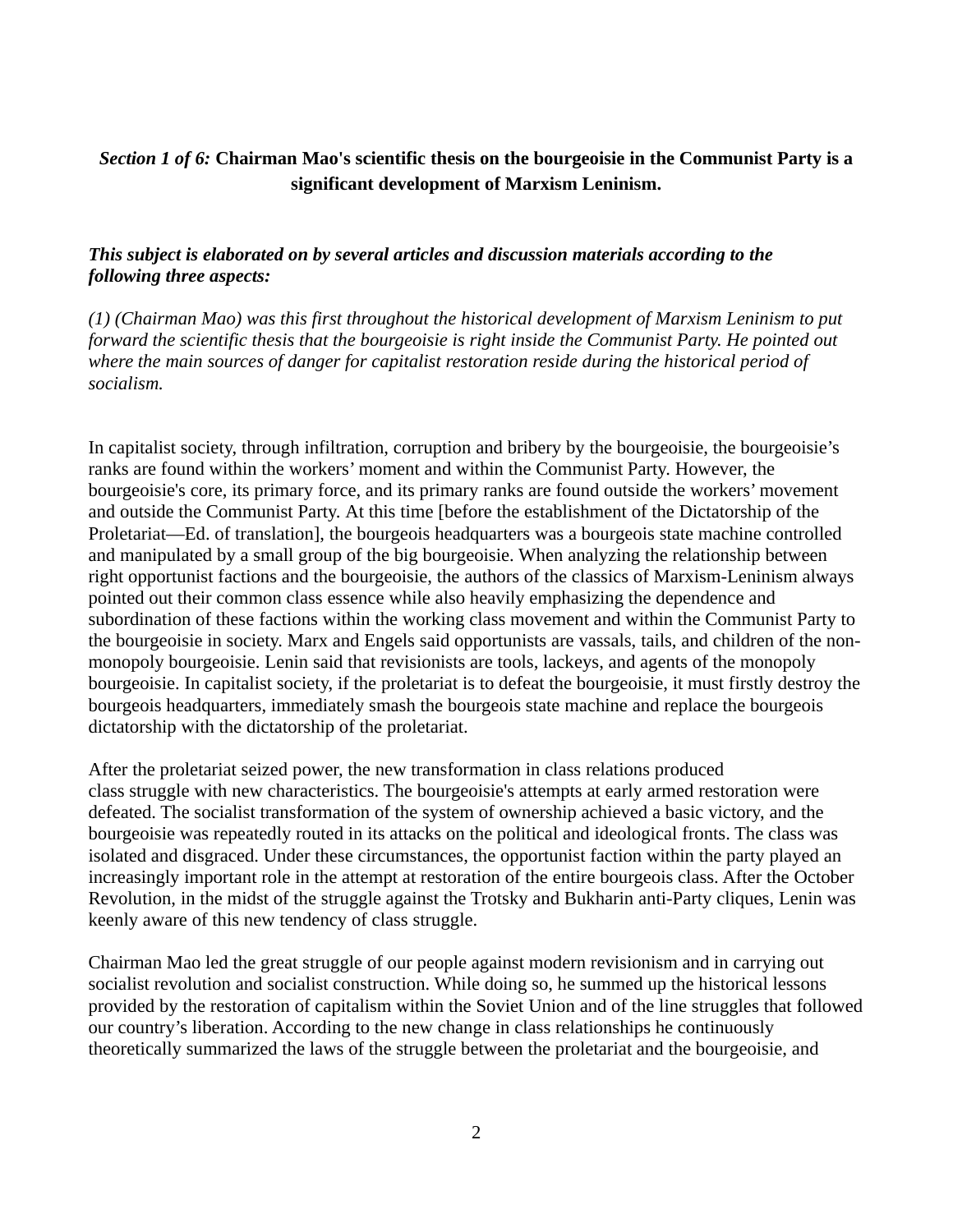## *Section 1 of 6:* **Chairman Mao's scientific thesis on the bourgeoisie in the Communist Party is a significant development of Marxism Leninism.**

## *This subject is elaborated on by several articles and discussion materials according to the following three aspects:*

*(1) (Chairman Mao) was this first throughout the historical development of Marxism Leninism to put forward the scientific thesis that the bourgeoisie is right inside the Communist Party. He pointed out where the main sources of danger for capitalist restoration reside during the historical period of socialism.*

In capitalist society, through infiltration, corruption and bribery by the bourgeoisie, the bourgeoisie's ranks are found within the workers' moment and within the Communist Party. However, the bourgeoisie's core, its primary force, and its primary ranks are found outside the workers' movement and outside the Communist Party. At this time [before the establishment of the Dictatorship of the Proletariat—Ed. of translation], the bourgeois headquarters was a bourgeois state machine controlled and manipulated by a small group of the big bourgeoisie. When analyzing the relationship between right opportunist factions and the bourgeoisie, the authors of the classics of Marxism-Leninism always pointed out their common class essence while also heavily emphasizing the dependence and subordination of these factions within the working class movement and within the Communist Party to the bourgeoisie in society. Marx and Engels said opportunists are vassals, tails, and children of the nonmonopoly bourgeoisie. Lenin said that revisionists are tools, lackeys, and agents of the monopoly bourgeoisie. In capitalist society, if the proletariat is to defeat the bourgeoisie, it must firstly destroy the bourgeois headquarters, immediately smash the bourgeois state machine and replace the bourgeois dictatorship with the dictatorship of the proletariat.

After the proletariat seized power, the new transformation in class relations produced class struggle with new characteristics. The bourgeoisie's attempts at early armed restoration were defeated. The socialist transformation of the system of ownership achieved a basic victory, and the bourgeoisie was repeatedly routed in its attacks on the political and ideological fronts. The class was isolated and disgraced. Under these circumstances, the opportunist faction within the party played an increasingly important role in the attempt at restoration of the entire bourgeois class. After the October Revolution, in the midst of the struggle against the Trotsky and Bukharin anti-Party cliques, Lenin was keenly aware of this new tendency of class struggle.

Chairman Mao led the great struggle of our people against modern revisionism and in carrying out socialist revolution and socialist construction. While doing so, he summed up the historical lessons provided by the restoration of capitalism within the Soviet Union and of the line struggles that followed our country's liberation. According to the new change in class relationships he continuously theoretically summarized the laws of the struggle between the proletariat and the bourgeoisie, and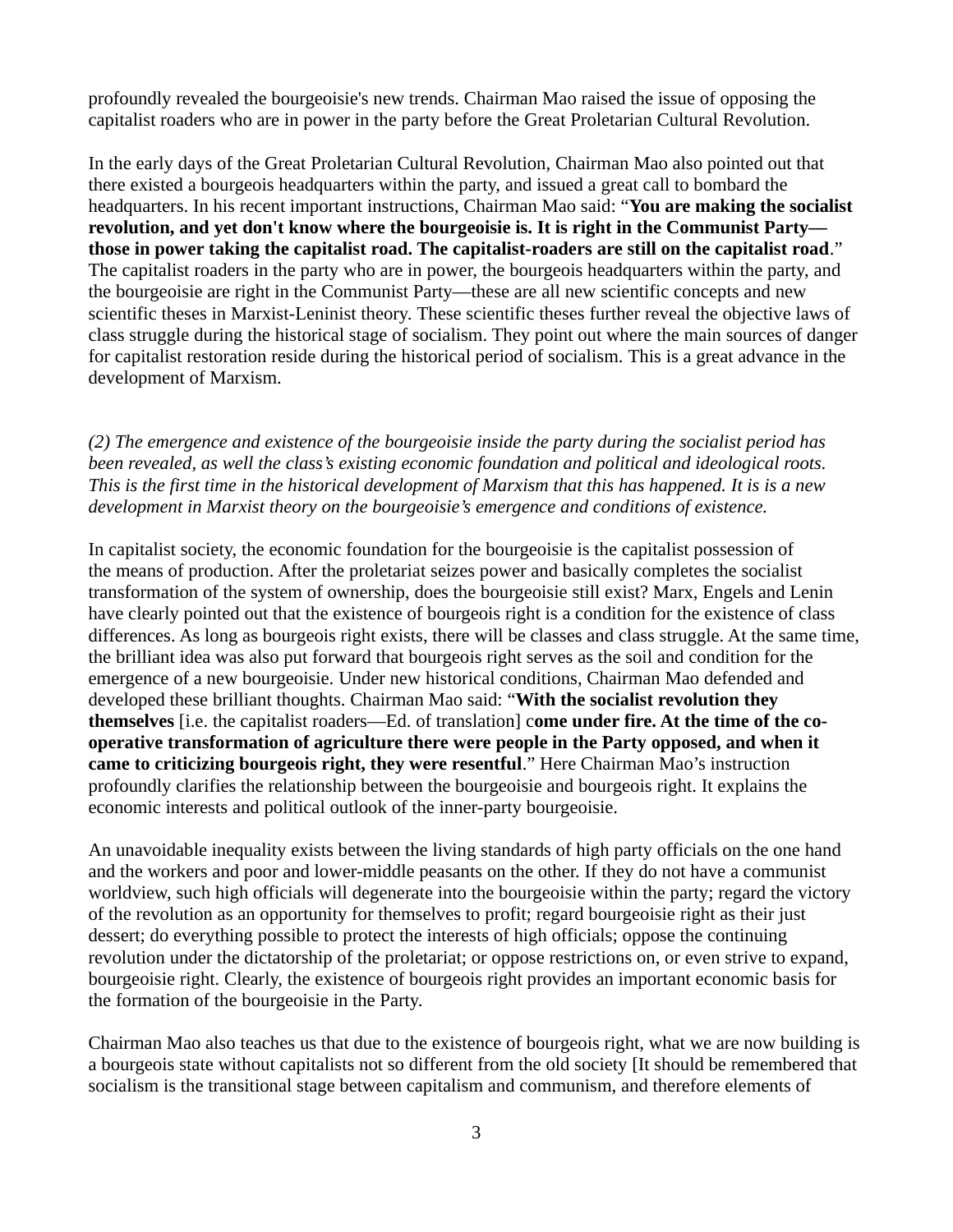profoundly revealed the bourgeoisie's new trends. Chairman Mao raised the issue of opposing the capitalist roaders who are in power in the party before the Great Proletarian Cultural Revolution.

In the early days of the Great Proletarian Cultural Revolution, Chairman Mao also pointed out that there existed a bourgeois headquarters within the party, and issued a great call to bombard the headquarters. In his recent important instructions, Chairman Mao said: "**You are making the socialist revolution, and yet don't know where the bourgeoisie is. It is right in the Communist Party those in power taking the capitalist road. The capitalist-roaders are still on the capitalist road**." The capitalist roaders in the party who are in power, the bourgeois headquarters within the party, and the bourgeoisie are right in the Communist Party—these are all new scientific concepts and new scientific theses in Marxist-Leninist theory. These scientific theses further reveal the objective laws of class struggle during the historical stage of socialism. They point out where the main sources of danger for capitalist restoration reside during the historical period of socialism. This is a great advance in the development of Marxism.

*(2) The emergence and existence of the bourgeoisie inside the party during the socialist period has been revealed, as well the class's existing economic foundation and political and ideological roots. This is the first time in the historical development of Marxism that this has happened. It is is a new development in Marxist theory on the bourgeoisie's emergence and conditions of existence.* 

In capitalist society, the economic foundation for the bourgeoisie is the capitalist possession of the means of production. After the proletariat seizes power and basically completes the socialist transformation of the system of ownership, does the bourgeoisie still exist? Marx, Engels and Lenin have clearly pointed out that the existence of bourgeois right is a condition for the existence of class differences. As long as bourgeois right exists, there will be classes and class struggle. At the same time, the brilliant idea was also put forward that bourgeois right serves as the soil and condition for the emergence of a new bourgeoisie. Under new historical conditions, Chairman Mao defended and developed these brilliant thoughts. Chairman Mao said: "**With the socialist revolution they themselves** [i.e. the capitalist roaders—Ed. of translation] c**ome under fire. At the time of the cooperative transformation of agriculture there were people in the Party opposed, and when it came to criticizing bourgeois right, they were resentful**." Here Chairman Mao's instruction profoundly clarifies the relationship between the bourgeoisie and bourgeois right. It explains the economic interests and political outlook of the inner-party bourgeoisie.

An unavoidable inequality exists between the living standards of high party officials on the one hand and the workers and poor and lower-middle peasants on the other. If they do not have a communist worldview, such high officials will degenerate into the bourgeoisie within the party; regard the victory of the revolution as an opportunity for themselves to profit; regard bourgeoisie right as their just dessert; do everything possible to protect the interests of high officials; oppose the continuing revolution under the dictatorship of the proletariat; or oppose restrictions on, or even strive to expand, bourgeoisie right. Clearly, the existence of bourgeois right provides an important economic basis for the formation of the bourgeoisie in the Party.

Chairman Mao also teaches us that due to the existence of bourgeois right, what we are now building is a bourgeois state without capitalists not so different from the old society [It should be remembered that socialism is the transitional stage between capitalism and communism, and therefore elements of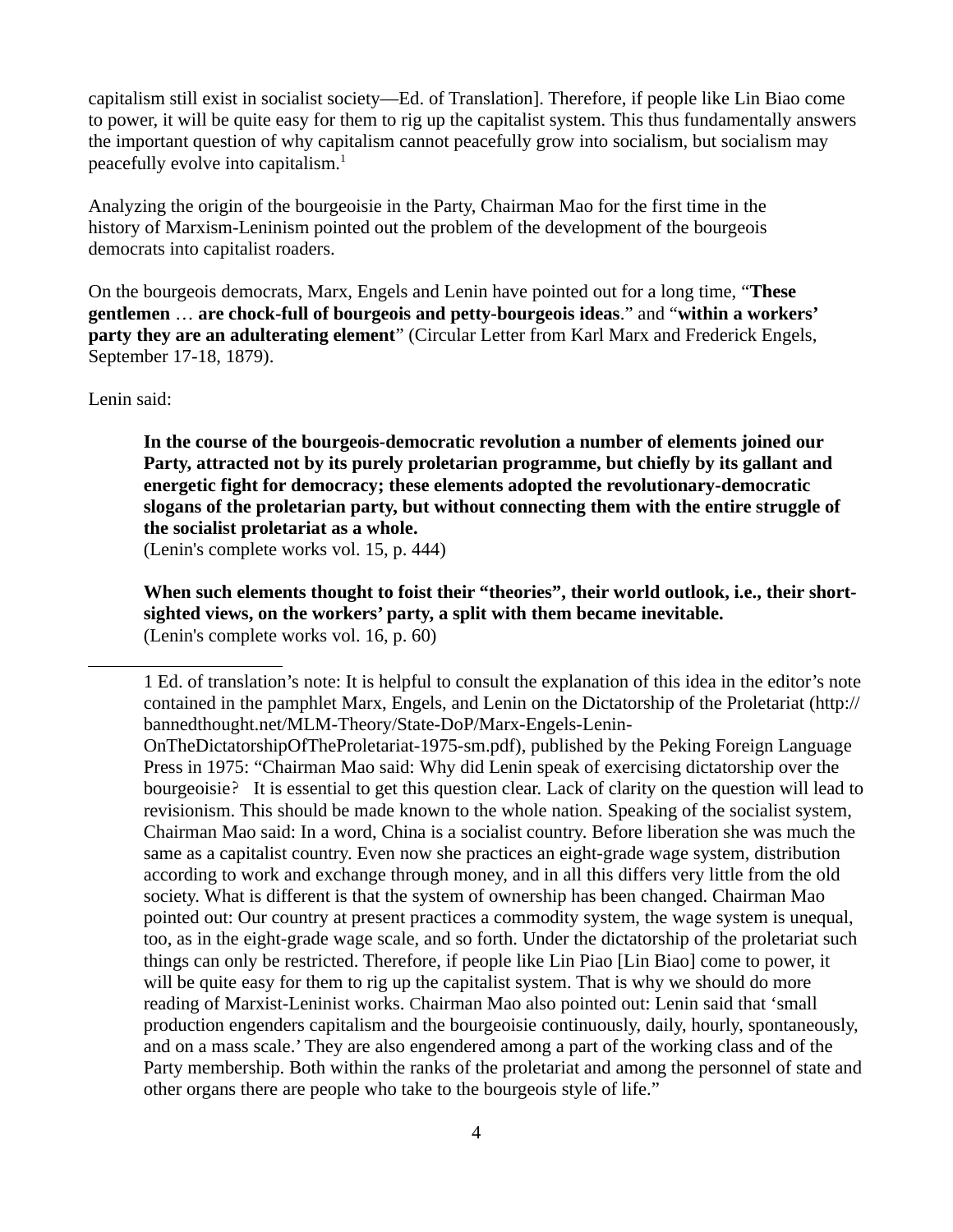capitalism still exist in socialist society—Ed. of Translation]. Therefore, if people like Lin Biao come to power, it will be quite easy for them to rig up the capitalist system. This thus fundamentally answers the important question of why capitalism cannot peacefully grow into socialism, but socialism may peacefully evolve into capitalism.<sup>[1](#page-3-0)</sup>

Analyzing the origin of the bourgeoisie in the Party, Chairman Mao for the first time in the history of Marxism-Leninism pointed out the problem of the development of the bourgeois democrats into capitalist roaders.

On the bourgeois democrats, Marx, Engels and Lenin have pointed out for a long time, "**These gentlemen** … **are chock-full of bourgeois and petty-bourgeois ideas**." and "**within a workers' party they are an adulterating element**" (Circular Letter from Karl Marx and Frederick Engels, September 17-18, 1879).

Lenin said:

**In the course of the bourgeois-democratic revolution a number of elements joined our Party, attracted not by its purely proletarian programme, but chiefly by its gallant and energetic fight for democracy; these elements adopted the revolutionary-democratic slogans of the proletarian party, but without connecting them with the entire struggle of the socialist proletariat as a whole.**

(Lenin's complete works vol. 15, p. 444)

**When such elements thought to foist their "theories", their world outlook, i.e., their shortsighted views, on the workers' party, a split with them became inevitable.** (Lenin's complete works vol. 16, p. 60)

<span id="page-3-0"></span><sup>1</sup> Ed. of translation's note: It is helpful to consult the explanation of this idea in the editor's note contained in the pamphlet Marx, Engels, and Lenin on the Dictatorship of the Proletariat (http:// bannedthought.net/MLM-Theory/State-DoP/Marx-Engels-Lenin-

OnTheDictatorshipOfTheProletariat-1975-sm.pdf), published by the Peking Foreign Language Press in 1975: "Chairman Mao said: Why did Lenin speak of exercising dictatorship over the bourgeoisie? It is essential to get this question clear. Lack of clarity on the question will lead to revisionism. This should be made known to the whole nation. Speaking of the socialist system, Chairman Mao said: In a word, China is a socialist country. Before liberation she was much the same as a capitalist country. Even now she practices an eight-grade wage system, distribution according to work and exchange through money, and in all this differs very little from the old society. What is different is that the system of ownership has been changed. Chairman Mao pointed out: Our country at present practices a commodity system, the wage system is unequal, too, as in the eight-grade wage scale, and so forth. Under the dictatorship of the proletariat such things can only be restricted. Therefore, if people like Lin Piao [Lin Biao] come to power, it will be quite easy for them to rig up the capitalist system. That is why we should do more reading of Marxist-Leninist works. Chairman Mao also pointed out: Lenin said that 'small production engenders capitalism and the bourgeoisie continuously, daily, hourly, spontaneously, and on a mass scale.' They are also engendered among a part of the working class and of the Party membership. Both within the ranks of the proletariat and among the personnel of state and other organs there are people who take to the bourgeois style of life."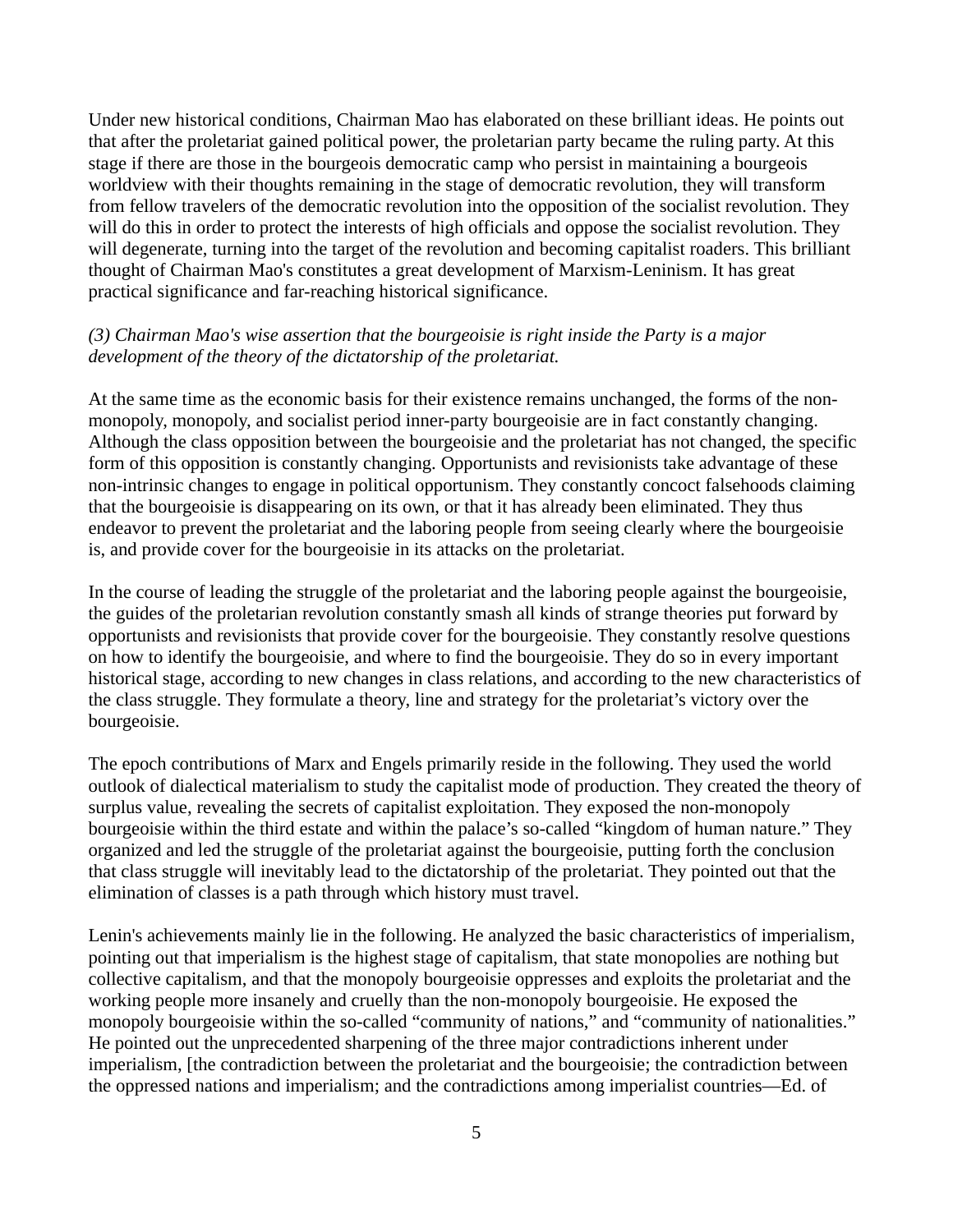Under new historical conditions, Chairman Mao has elaborated on these brilliant ideas. He points out that after the proletariat gained political power, the proletarian party became the ruling party. At this stage if there are those in the bourgeois democratic camp who persist in maintaining a bourgeois worldview with their thoughts remaining in the stage of democratic revolution, they will transform from fellow travelers of the democratic revolution into the opposition of the socialist revolution. They will do this in order to protect the interests of high officials and oppose the socialist revolution. They will degenerate, turning into the target of the revolution and becoming capitalist roaders. This brilliant thought of Chairman Mao's constitutes a great development of Marxism-Leninism. It has great practical significance and far-reaching historical significance.

## *(3) Chairman Mao's wise assertion that the bourgeoisie is right inside the Party is a major development of the theory of the dictatorship of the proletariat.*

At the same time as the economic basis for their existence remains unchanged, the forms of the nonmonopoly, monopoly, and socialist period inner-party bourgeoisie are in fact constantly changing. Although the class opposition between the bourgeoisie and the proletariat has not changed, the specific form of this opposition is constantly changing. Opportunists and revisionists take advantage of these non-intrinsic changes to engage in political opportunism. They constantly concoct falsehoods claiming that the bourgeoisie is disappearing on its own, or that it has already been eliminated. They thus endeavor to prevent the proletariat and the laboring people from seeing clearly where the bourgeoisie is, and provide cover for the bourgeoisie in its attacks on the proletariat.

In the course of leading the struggle of the proletariat and the laboring people against the bourgeoisie, the guides of the proletarian revolution constantly smash all kinds of strange theories put forward by opportunists and revisionists that provide cover for the bourgeoisie. They constantly resolve questions on how to identify the bourgeoisie, and where to find the bourgeoisie. They do so in every important historical stage, according to new changes in class relations, and according to the new characteristics of the class struggle. They formulate a theory, line and strategy for the proletariat's victory over the bourgeoisie.

The epoch contributions of Marx and Engels primarily reside in the following. They used the world outlook of dialectical materialism to study the capitalist mode of production. They created the theory of surplus value, revealing the secrets of capitalist exploitation. They exposed the non-monopoly bourgeoisie within the third estate and within the palace's so-called "kingdom of human nature." They organized and led the struggle of the proletariat against the bourgeoisie, putting forth the conclusion that class struggle will inevitably lead to the dictatorship of the proletariat. They pointed out that the elimination of classes is a path through which history must travel.

Lenin's achievements mainly lie in the following. He analyzed the basic characteristics of imperialism, pointing out that imperialism is the highest stage of capitalism, that state monopolies are nothing but collective capitalism, and that the monopoly bourgeoisie oppresses and exploits the proletariat and the working people more insanely and cruelly than the non-monopoly bourgeoisie. He exposed the monopoly bourgeoisie within the so-called "community of nations," and "community of nationalities." He pointed out the unprecedented sharpening of the three major contradictions inherent under imperialism, [the contradiction between the proletariat and the bourgeoisie; the contradiction between the oppressed nations and imperialism; and the contradictions among imperialist countries—Ed. of